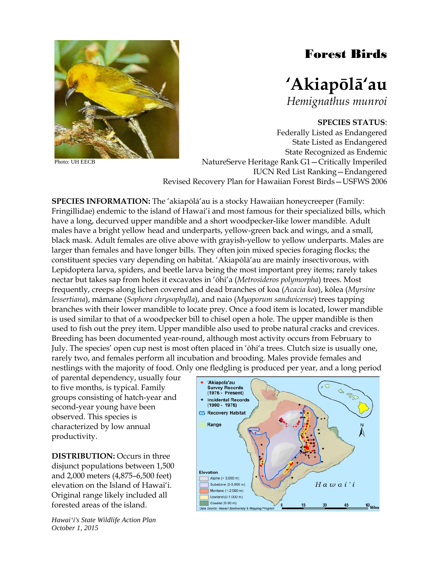## Forest Birds



*Hemignathus munroi*

## **SPECIES STATUS**:

Federally Listed as Endangered State Listed as Endangered State Recognized as Endemic NatureServe Heritage Rank G1—Critically Imperiled IUCN Red List Ranking—Endangered Revised Recovery Plan for Hawaiian Forest Birds—USFWS 2006

**SPECIES INFORMATION:** The 'akiapōlā'au is a stocky Hawaiian honeycreeper (Family: Fringillidae) endemic to the island of Hawai'i and most famous for their specialized bills, which have a long, decurved upper mandible and a short woodpecker-like lower mandible. Adult males have a bright yellow head and underparts, yellow-green back and wings, and a small, black mask. Adult females are olive above with grayish-yellow to yellow underparts. Males are larger than females and have longer bills. They often join mixed species foraging flocks; the constituent species vary depending on habitat. 'Akiapōlā'au are mainly insectivorous, with Lepidoptera larva, spiders, and beetle larva being the most important prey items; rarely takes nectar but takes sap from holes it excavates in 'ōhi'a (*Metrosideros polymorpha*) trees. Most frequently, creeps along lichen covered and dead branches of koa (*Acacia koa*), kōlea (*Myrsine lessertiana*), māmane (*Sophora chrysophylla*), and naio (*Myoporum sandwicense*) trees tapping branches with their lower mandible to locate prey. Once a food item is located, lower mandible is used similar to that of a woodpecker bill to chisel open a hole. The upper mandible is then used to fish out the prey item. Upper mandible also used to probe natural cracks and crevices. Breeding has been documented year-round, although most activity occurs from February to July. The species' open cup nest is most often placed in 'ōhi'a trees. Clutch size is usually one, rarely two, and females perform all incubation and brooding. Males provide females and nestlings with the majority of food. Only one fledgling is produced per year, and a long period

of parental dependency, usually four to five months, is typical. Family groups consisting of hatch-year and second-year young have been observed. This species is characterized by low annual productivity.

**DISTRIBUTION:** Occurs in three disjunct populations between 1,500 and 2,000 meters (4,875–6,500 feet) elevation on the Island of Hawai'i. Original range likely included all forested areas of the island.

*Hawai'i's State Wildlife Action Plan October 1, 2015*





Photo: UH EECB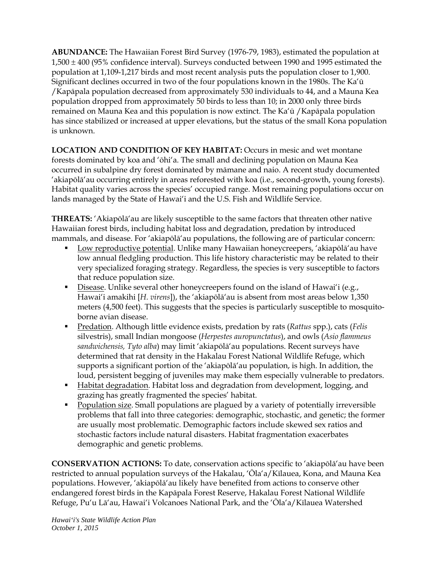**ABUNDANCE:** The Hawaiian Forest Bird Survey (1976-79, 1983), estimated the population at 1,500 ± 400 (95% confidence interval). Surveys conducted between 1990 and 1995 estimated the population at 1,109-1,217 birds and most recent analysis puts the population closer to 1,900. Significant declines occurred in two of the four populations known in the 1980s. The Ka'ū /Kapāpala population decreased from approximately 530 individuals to 44, and a Mauna Kea population dropped from approximately 50 birds to less than 10; in 2000 only three birds remained on Mauna Kea and this population is now extinct. The Ka'ū /Kapāpala population has since stabilized or increased at upper elevations, but the status of the small Kona population is unknown.

**LOCATION AND CONDITION OF KEY HABITAT:** Occurs in mesic and wet montane forests dominated by koa and 'ōhi'a. The small and declining population on Mauna Kea occurred in subalpine dry forest dominated by māmane and naio. A recent study documented 'akiapōlā'au occurring entirely in areas reforested with koa (i.e., second-growth, young forests). Habitat quality varies across the species' occupied range. Most remaining populations occur on lands managed by the State of Hawai'i and the U.S. Fish and Wildlife Service.

**THREATS:** 'Akiapōlā'au are likely susceptible to the same factors that threaten other native Hawaiian forest birds, including habitat loss and degradation, predation by introduced mammals, and disease. For 'akiapōlā'au populations, the following are of particular concern:

- Low reproductive potential. Unlike many Hawaiian honeycreepers, 'akiapōlā'au have low annual fledgling production. This life history characteristic may be related to their very specialized foraging strategy. Regardless, the species is very susceptible to factors that reduce population size.
- Disease. Unlike several other honeycreepers found on the island of Hawai'i (e.g., Hawai'i amakihi [*H. virens*]), the 'akiapōlā'au is absent from most areas below 1,350 meters (4,500 feet). This suggests that the species is particularly susceptible to mosquitoborne avian disease.
- Predation. Although little evidence exists, predation by rats (*Rattus* spp.), cats (*Felis* silvestris), small Indian mongoose (*Herpestes auropunctatus*), and owls (*Asio flammeus sandwichensis, Tyto alba*) may limit 'akiapōlā'au populations. Recent surveys have determined that rat density in the Hakalau Forest National Wildlife Refuge, which supports a significant portion of the 'akiapōlā'au population, is high. In addition, the loud, persistent begging of juveniles may make them especially vulnerable to predators.
- Habitat degradation. Habitat loss and degradation from development, logging, and grazing has greatly fragmented the species' habitat.
- Population size. Small populations are plagued by a variety of potentially irreversible problems that fall into three categories: demographic, stochastic, and genetic; the former are usually most problematic. Demographic factors include skewed sex ratios and stochastic factors include natural disasters. Habitat fragmentation exacerbates demographic and genetic problems.

**CONSERVATION ACTIONS:** To date, conservation actions specific to 'akiapōlā'au have been restricted to annual population surveys of the Hakalau, 'Ōla'a/Kīlauea, Kona, and Mauna Kea populations. However, 'akiapōlā'au likely have benefited from actions to conserve other endangered forest birds in the Kapāpala Forest Reserve, Hakalau Forest National Wildlife Refuge, Pu'u Lā'au, Hawai'i Volcanoes National Park, and the 'Ōla'a/Kīlauea Watershed

*Hawai'i's State Wildlife Action Plan October 1, 2015*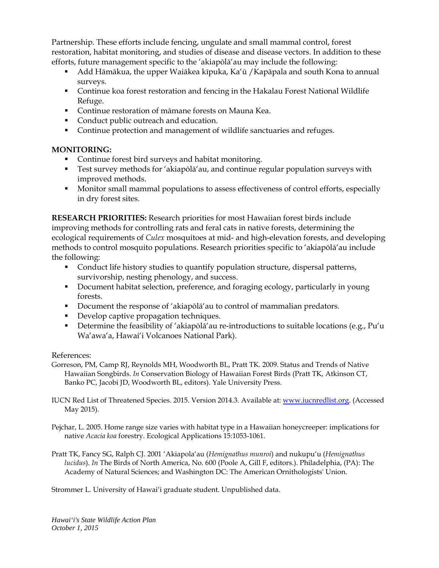Partnership. These efforts include fencing, ungulate and small mammal control, forest restoration, habitat monitoring, and studies of disease and disease vectors. In addition to these efforts, future management specific to the 'akiapōlā'au may include the following:

- Add Hāmākua, the upper Waiākea kīpuka, Ka'ū /Kapāpala and south Kona to annual surveys.
- Continue koa forest restoration and fencing in the Hakalau Forest National Wildlife Refuge.
- **Continue restoration of māmane forests on Mauna Kea.**
- Conduct public outreach and education.
- Continue protection and management of wildlife sanctuaries and refuges.

## **MONITORING:**

- Continue forest bird surveys and habitat monitoring.
- Test survey methods for 'akiapōlā'au, and continue regular population surveys with improved methods.
- **Monitor small mammal populations to assess effectiveness of control efforts, especially** in dry forest sites.

**RESEARCH PRIORITIES:** Research priorities for most Hawaiian forest birds include improving methods for controlling rats and feral cats in native forests, determining the ecological requirements of *Culex* mosquitoes at mid- and high-elevation forests, and developing methods to control mosquito populations. Research priorities specific to 'akiapōlā'au include the following:

- Conduct life history studies to quantify population structure, dispersal patterns, survivorship, nesting phenology, and success.
- Document habitat selection, preference, and foraging ecology, particularly in young forests.
- Document the response of 'akiapōlā'au to control of mammalian predators.
- Develop captive propagation techniques.
- Determine the feasibility of 'akiapōlā'au re-introductions to suitable locations (e.g., Pu'u Wa'awa'a, Hawai'i Volcanoes National Park).

## References:

- Gorreson, PM, Camp RJ, Reynolds MH, Woodworth BL, Pratt TK. 2009. Status and Trends of Native Hawaiian Songbirds. *In* Conservation Biology of Hawaiian Forest Birds (Pratt TK, Atkinson CT, Banko PC, Jacobi JD, Woodworth BL, editors). Yale University Press.
- IUCN Red List of Threatened Species. 2015. Version 2014.3. Available at: [www.iucnredlist.org.](http://www.iucnredlist.org/) (Accessed May 2015).
- Pejchar, L. 2005. Home range size varies with habitat type in a Hawaiian honeycreeper: implications for native *Acacia koa* forestry. Ecological Applications 15:1053-1061.
- Pratt TK, Fancy SG, Ralph CJ. 2001 'Akiapola'au (*Hemignathus munroi*) and nukupu'u (*Hemignathus lucidus*). *In* The Birds of North America, No. 600 (Poole A, Gill F, editors.). Philadelphia, (PA): The Academy of Natural Sciences; and Washington DC: The American Ornithologists' Union.

Strommer L. University of Hawai'i graduate student. Unpublished data.

*Hawai'i's State Wildlife Action Plan October 1, 2015*